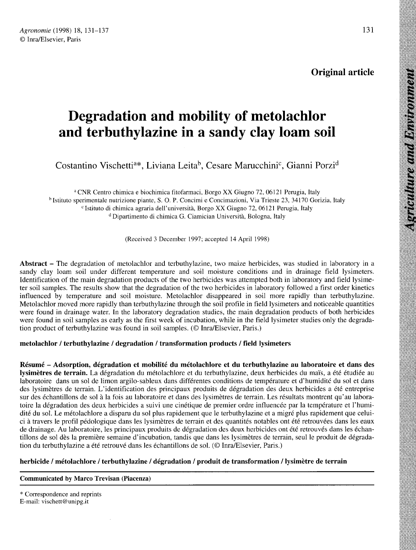# Degradation and mobility of metolachlor and terbuthylazine in a sandy clay loam soil **Degradation and mobility of metolachlor<br>and terbuthylazine in a sandy clay loam soil**<br>Costantino Vischetti<sup>a\*</sup>, Liviana Leita<sup>b</sup>, Cesare Marucchini<sup>c</sup>, Gianni Porzi<sup>o</sup>

<sup>a</sup> CNR Centro chimica e biochimica fitofarmaci, Borgo XX Giugno 72, 06121 Perugia, Italy b Istituto sperimentale nutrizione piante, S. O. P. Concimi e Concimazioni, Via Trieste 23, 34170 Gorizia, Italy o chimica e bio<br>nutrizione piare<br>i chimica agra chimica agraria dell'università, Borgo XX Giugno 72, 06121 Perugia, Italy Dipartimento di chimica G. Ciamician Università, Bologna, Italy

(Received 3 December 1997; accepted 14 April 1998)

Abstract - The degradation of metolachlor and terbuthylazine, two maize herbicides, was studied in laboratory in a sandy clay loam soil under different temperature and soil moisture conditions and in drainage field lysimeters. Identification of the main degradation products of the two herbicides was attempted both in laboratory and field lysime ter soil samples. The results show that the degradation of the two herbicides in laboratory followed a first order kinetics influenced by temperature and soil moisture. Metolachlor disappeared in soil more rapidly than terbuthylazine. Metolachlor moved more rapidly than terbuthylazine through the soil profile in field lysimeters and noticeable quantities were found in drainage water. In the laboratory degradation studies, the main degradation products of both herbicides were found in soil samples as early as the first week of incubation, while in the field lysimeter studies only the degradation product of terbuthylazine was found in soil samples. (© Inra/Elsevier, Paris.)

#### metolachlor / terbuthylazine / degradation / transformation products / field lysimeters

Résumé - Adsorption, dégradation et mobilité du métolachlore et du terbuthylazine au laboratoire et dans des lysimètres de terrain. La dégradation du métolachlore et du terbuthylazine, deux herbicides du maïs, a été étudiée au laboratoire dans un sol de limon argilo-sableux dans différentes conditions de température et d'humidité du sol et dans des lysimètres de terrain. L'identification des principaux produits de dégradation des deux herbicides a été entreprise sur des échantillons de sol à la fois au laboratoire et dans des lysimètres de terrain. Les résultats montrent qu'au laboratoire la dégradation des deux herbicides a suivi une cinétique de premier ordre influencée par la température et l'humidité du sol. Le métolachlore a disparu du sol plus rapidement que le terbuthylazine et a migré plus rapidement que celuici à travers le profil pédologique dans les lysimètres de terrain et des quantités notables ont été retrouvées dans les eaux de drainage. Au laboratoire, les principaux produits de dégradation des deux herbicides ont été retrouvés dans les échantillons de sol dès la première semaine d'incubation, tandis que dans les lysimètres de terrain, seul le produit de dégradation du terbuthylazine a été retrouvé dans les échantillons de sol. (© Inra/Elsevier, Paris.)

# herbicide / métolachlore / terbuthylazine / dégradation / produit de transformation / lysimètre de terrain

#### Communicated by Marco Trevisan (Piacenza)

\* Correspondence and reprints E-mail: vischett@unipg.it

grienlture and Bavironment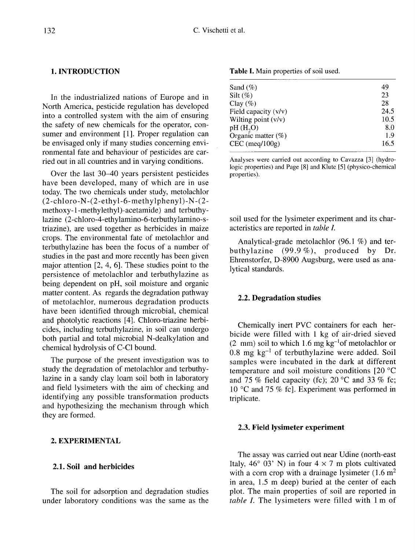#### 1. INTRODUCTION

In the industrialized nations of Europe and in North America, pesticide regulation has developed into a controlled system with the aim of ensuring the safety of new chemicals for the operator, consumer and environment [1]. Proper regulation can be envisaged only if many studies concerning environmental fate and behaviour of pesticides are carried out in all countries and in varying conditions.

Over the last 30-40 years persistent pesticides have been developed, many of which are in use today. The two chemicals under study, metolachlor (2-chloro-N-(2-ethyl-6-methylphenyl)-N-(2 methoxy-1-methylethyl)-acetamide) and terbuthylazine (2-chloro-4-ethylamino-6-terbuthylamino-striazine), are used together as herbicides in maize crops. The environmental fate of metolachlor and terbuthylazine has been the focus of a number of studies in the past and more recently has been given major attention [2, 4, 6]. These studies point to the persistence of metolachlor and terbuthylazine as being dependent on pH, soil moisture and organic matter content. As regards the degradation pathway of metolachlor, numerous degradation products have been identified through microbial, chemical and photolytic reactions [4]. Chloro-triazine herbicides, including terbuthylazine, in soil can undergo both partial and total microbial N-dealkylation and chemical hydrolysis of C-Cl bound.

The purpose of the present investigation was to study the degradation of metolachlor and terbuthylazine in a sandy clay loam soil both in laboratory and field lysimeters with the aim of checking and identifying any possible transformation products and hypothesizing the mechanism through which they are formed.

# 2. EXPERIMENTAL

#### 2.1. Soil and herbicides

The soil for adsorption and degradation studies under laboratory conditions was the same as the

Table I. Main properties of soil used.

| Sand $(\%)$            | 49   |
|------------------------|------|
| Silt $(\%)$            | 23   |
| Clay $(\%)$            | 28   |
| Field capacity $(v/v)$ | 24.5 |
| Wilting point (v/v)    | 10.5 |
| pH(H, O)               | 8.0  |
| Organic matter $(\%)$  | 1.9  |
| $CEC$ (meq/100g)       | 16.5 |
|                        |      |

Analyses were carried out according to Cavazza [3] (hydrologic properties) and Page [8] and Klute [5] (physico-chemical properties).

soil used for the lysimeter experiment and its characteristics are reported in table I.

Analytical-grade metolachlor (96.1 %) and terbuthylazine (99.9 %), produced by Dr. Ehrenstorfer, D-8900 Augsburg, were used as analytical standards.

#### 2.2. Degradation studies

Chemically inert PVC containers for each herbicide were filled with 1 kg of air-dried sieved (2 mm) soil to which 1.6 mg  $kg^{-1}$ of metolachlor or 0.8 mg kg-1 of terbuthylazine were added. Soil samples were incubated in the dark at different temperature and soil moisture conditions [20 °C and 75 % field capacity (fc); 20  $^{\circ}$ C and 33 % fc; 10 °C and 75 % fc]. Experiment was performed in triplicate.

#### 2.3. Field lysimeter experiment

The assay was carried out near Udine (north-east Italy, 46° 03' N) in four  $4 \times 7$  m plots cultivated with a corn crop with a drainage lysimeter  $(1.6 \text{ m}^2)$ in area, 1.5 m deep) buried at the center of each plot. The main properties of soil are reported in table I. The lysimeters were filled with 1 m of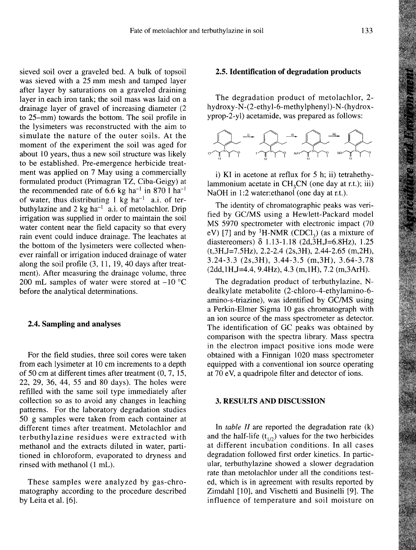sieved soil over a graveled bed. A bulk of topsoil was sieved with a 25 mm mesh and tamped layer after layer by saturations on a graveled draining layer in each iron tank; the soil mass was laid on a drainage layer of gravel of increasing diameter (2 to 25-mm) towards the bottom. The soil profile in the lysimeters was reconstructed with the aim to simulate the nature of the outer soils. At the moment of the experiment the soil was aged for about 10 years, thus a new soil structure was likely to be established. Pre-emergence herbicide treatment was applied on 7 May using a commercially formulated product (Primagran TZ, Ciba-Geigy) at the recommended rate of  $6.6$  kg ha<sup>-1</sup> in 870 l ha<sup>-1</sup> of water, thus distributing  $1 \text{ kg } \text{ha}^{-1}$  a.i. of terbuthylazine and 2 kg ha<sup>-1</sup>a.i. of metolachlor. Drip irrigation was supplied in order to maintain the soil water content near the field capacity so that every rain event could induce drainage. The leachates at the bottom of the lysimeters were collected whenever rainfall or irrigation induced drainage of water along the soil profile (3, 11, 19, 40 days after treatment). After measuring the drainage volume, three 200 mL samples of water were stored at  $-10$  °C before the analytical determinations.

# 2.4. Sampling and analyses

For the field studies, three soil cores were taken from each lysimeter at 10 cm increments to a depth of 50 cm at different times after treatment (0, 7, 15, 22, 29, 36, 44, 55 and 80 days). The holes were refilled with the same soil type immediately after collection so as to avoid any changes in leaching patterns. For the laboratory degradation studies 50 g samples were taken from each container at different times after treatment. Metolachlor and terbuthylazine residues were extracted with methanol and the extracts diluted in water, partitioned in chloroform, evaporated to dryness and rinsed with methanol (1 mL).

These samples were analyzed by gas-chromatography according to the procedure described by Leita et al. [6].

#### 2.5. Identification of degradation products

The degradation product of metolachlor, 2 hydroxy-N-(2-ethyl-6-methylphenyl)-N-(hydroxyprop-2-yl) acetamide, was prepared as follows:



i) KI in acetone at reflux for 5 h; ii) tetrahethylammonium acetate in  $CH<sub>3</sub>CN$  (one day at r.t.); iii) NaOH in 1:2 water: ethanol (one day at r.t.).

The identity of chromatographic peaks was verified by GC/MS using a Hewlett-Packard model MS 5970 spectrometer with electronic impact (70 The identity of chromatographic peaks was verified by GC/MS using a Hewlett-Packard model<br>MS 5970 spectrometer with electronic impact (70<br>eV) [7] and by <sup>1</sup>H-NMR (CDCl<sub>3</sub>) (as a mixture of<br>diastereomers)  $\delta$  1.13-1.18 (2 diastereomers)  $\delta$  1.13-1.18 (2d,  $\delta$ H, J=6.8Hz), 1.25  $(t,3H,J=7.5Hz)$ , 2.2-2.4 (2s, 3H), 2.44-2.65 (m, 2H), 3.24-3.3 (2s,3H), 3.44-3.5 (m,3H), 3.64-3.78 (2dd,1H,J=4.4, 9.4Hz), 4.3 (m,1H), 7.2 (m,3ArH).

The degradation product of terbuthylazine, Ndealkylate metabolite (2-chloro-4-ethylamino-6 amino-s-triazine), was identified by GC/MS using a Perkin-Elmer Sigma 10 gas chromatograph with an ion source of the mass spectrometer as detector. The identification of GC peaks was obtained by comparison with the spectra library. Mass spectra in the electron impact positive ions mode were obtained with a Finnigan 1020 mass spectrometer equipped with a conventional ion source operating at 70 eV, a quadripole filter and detector of ions.

#### 3. RESULTS AND DISCUSSION

In table  $II$  are reported the degradation rate  $(k)$ In *table II* are reported the degradation rate (k) and the half-life  $(t_{1/2})$  values for the two herbicides at different incubation conditions. In all cases degradation followed first order kinetics. In particular, terbuthylazine showed a slower degradation rate than metolachlor under all the conditions tested, which is in agreement with results reported by Zimdahl [10], and Vischetti and Businelli [9]. The influence of temperature and soil moisture on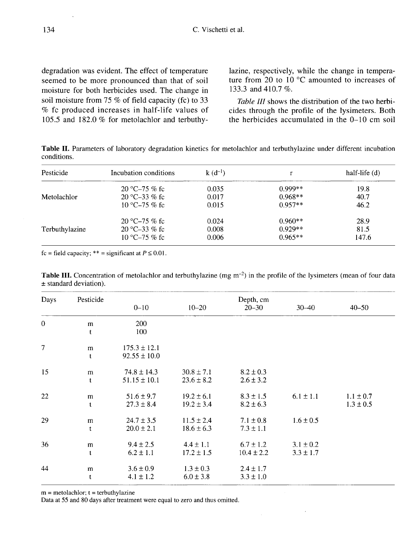degradation was evident. The effect of temperature seemed to be more pronounced than that of soil moisture for both herbicides used. The change in soil moisture from 75 % of field capacity (fc) to 33 % fc produced increases in half-life values of 105.5 and 182.0 % for metolachlor and terbuthylazine, respectively, while the change in temperature from 20 to 10 °C amounted to increases of 133.3 and 410.7 %.

Table III shows the distribution of the two herbicides through the profile of the lysimeters. Both the herbicides accumulated in the  $0-10$  cm soil

Table II. Parameters of laboratory degradation kinetics for metolachlor and terbuthylazine under different incubation conditions.

| Pesticide      | Incubation conditions | $k(d^{-1})$ |           | half-life $(d)$ |
|----------------|-----------------------|-------------|-----------|-----------------|
|                | 20 °C-75 % fc         | 0.035       | $0.999**$ | 19.8            |
| Metolachlor    | 20 °C-33 % fc         | 0.017       | $0.968**$ | 40.7            |
|                | 10 °C-75 % fc         | 0.015       | $0.957**$ | 46.2            |
|                | 20 °C-75 % fc         | 0.024       | $0.960**$ | 28.9            |
| Terbuthylazine | 20 °C-33 % fc         | 0.008       | $0.929**$ | 81.5            |
|                | 10 °C-75 % fc         | 0.006       | $0.965**$ | 147.6           |

fc = field capacity; \*\* = significant at  $P \le 0.01$ .

|                            | <b>Table III.</b> Concentration of metolachlor and terbuthylazine (mg $m^{-2}$ ) in the profile of the lysimeters (mean of four data |  |  |  |  |  |
|----------------------------|--------------------------------------------------------------------------------------------------------------------------------------|--|--|--|--|--|
| $\pm$ standard deviation). |                                                                                                                                      |  |  |  |  |  |

| Days         | Pesticide   | Depth, cm        |                |                |               |               |  |
|--------------|-------------|------------------|----------------|----------------|---------------|---------------|--|
|              |             | $0 - 10$         | $10 - 20$      | $20 - 30$      | $30 - 40$     | $40 - 50$     |  |
| $\mathbf{0}$ | m           | 200              |                |                |               |               |  |
|              | $\mathbf t$ | 100              |                |                |               |               |  |
| $\tau$       | m           | $175.3 \pm 12.1$ |                |                |               |               |  |
|              | t           | $92.55 \pm 10.0$ |                |                |               |               |  |
| 15           | m           | $74.8 \pm 14.3$  | $30.8 \pm 7.1$ | $8.2 \pm 0.3$  |               |               |  |
|              | t           | $51.15 \pm 10.1$ | $23.6 \pm 8.2$ | $2.6 \pm 3.2$  |               |               |  |
| 22           | m           | $51.6 \pm 9.7$   | $19.2 \pm 6.1$ | $8.3 \pm 1.5$  | $6.1 \pm 1.1$ | $1.1 \pm 0.7$ |  |
|              | t           | $27.3 \pm 8.4$   | $19.2 \pm 3.4$ | $8.2 \pm 6.3$  |               | $1.3 \pm 0.5$ |  |
| 29           | m           | $24.7 \pm 3.5$   | $11.5 \pm 2.4$ | $7.1 \pm 0.8$  | $1.6 \pm 0.5$ |               |  |
|              | t           | $20.0 \pm 2.1$   | $18.6 \pm 6.3$ | $7.3 \pm 1.1$  |               |               |  |
| 36           | m           | $9.4 \pm 2.5$    | $4.4 \pm 1.1$  | $6.7 \pm 1.2$  | $3.1 \pm 0.2$ |               |  |
|              | t           | $6.2 \pm 1.1$    | $17.2 \pm 1.5$ | $10.4 \pm 2.2$ | $3.3 \pm 1.7$ |               |  |
| 44           | m           | $3.6 \pm 0.9$    | $1.3 \pm 0.3$  | $2.4 \pm 1.7$  |               |               |  |
|              | t           | $4.1 \pm 1.2$    | $6.0 \pm 3.8$  | $3.3 \pm 1.0$  |               |               |  |

 $m =$  metolachlor;  $t =$  terbuthylazine

Data at 55 and 80 days after treatment were equal to zero and thus omitted.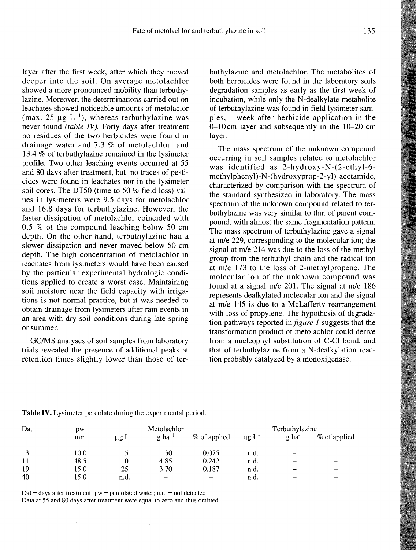layer after the first week, after which they moved deeper into the soil. On average metolachlor showed a more pronounced mobility than terbuthylazine. Moreover, the determinations carried out on leachates showed noticeable amounts of metolaclor (max. 25  $\mu$ g L<sup>-1</sup>), whereas terbuthylazine was never found (table IV). Forty days after treatment no residues of the two herbicides were found in drainage water and 7.3 % of metolachlor and 13.4 % of terbuthylazine remained in the lysimeter profile. Two other leaching events occurred at 55 and 80 days after treatment, but no traces of pesticides were found in leachates nor in the lysimeter soil cores. The DT50 (time to 50 % field loss) values in lysimeters were 9.5 days for metolachlor and 16.8 days for terbuthylazine. However, the faster dissipation of metolachlor coincided with 0.5 % of the compound leaching below 50 cm depth. On the other hand, terbuthylazine had a slower dissipation and never moved below 50 cm depth. The high concentration of metolachlor in leachates from lysimeters would have been caused by the particular experimental hydrologic conditions applied to create a worst case. Maintaining soil moisture near the field capacity with irrigations is not normal practice, but it was needed to obtain drainage from lysimeters after rain events in an area with dry soil conditions during late spring or summer.

GC/MS analyses of soil samples from laboratory trials revealed the presence of additional peaks at retention times slightly lower than those of terbuthylazine and metolachlor. The metabolites of both herbicides were found in the laboratory soils degradation samples as early as the first week of incubation, while only the N-dealkylate metabolite of terbuthylazine was found in field lysimeter samples, 1 week after herbicide application in the 0-10cm layer and subsequently in the 10-20 cm layer.

The mass spectrum of the unknown compound occurring in soil samples related to metolachlor was identified as 2-hydroxy-N-(2-ethyl-6 methylphenyl)-N-(hydroxyprop-2-yl) acetamide, characterized by comparison with the spectrum of the standard synthesized in laboratory. The mass spectrum of the unknown compound related to terbuthylazine was very similar to that of parent compound, with almost the same fragmentation pattern. The mass spectrum of terbuthylazine gave a signal at m/e 229, corresponding to the molecular ion; the signal at m/e 214 was due to the loss of the methyl group from the terbuthyl chain and the radical ion at m/e 173 to the loss of 2-methylpropene. The molecular ion of the unknown compound was found at a signal m/e 201. The signal at m/e 186 represents dealkylated molecular ion and the signal at m/e 145 is due to a McLafferty rearrangement with loss of propylene. The hypothesis of degradation pathways reported in  $figure\ I$  suggests that the transformation product of metolachlor could derive from a nucleophyl substitution of C-Cl bond, and that of terbuthylazine from a N-dealkylation reaction probably catalyzed by a monoxigenase.

| Dat | <b>DW</b> |                         | Metolachlor              |              |                         | Terbuthylazine       |              |
|-----|-----------|-------------------------|--------------------------|--------------|-------------------------|----------------------|--------------|
|     | mm        | $\mu$ g L <sup>-1</sup> | $g$ ha <sup>-1</sup>     | % of applied | $\mu$ g L <sup>-1</sup> | $g$ ha <sup>-1</sup> | % of applied |
|     | 10.0      |                         | 1.50                     | 0.075        | n.d.                    |                      |              |
| 11  | 48.5      | 10                      | 4.85                     | 0.242        | n.d.                    |                      |              |
| 19  | 15.0      | 25                      | 3.70                     | 0.187        | n.d.                    |                      |              |
| 40  | 15.0      | n.d.                    | $\overline{\phantom{m}}$ |              | n.d.                    |                      |              |

Table IV. Lysimeter percolate during the experimental period.

Dat = days after treatment;  $pw =$  percolated water; n.d. = not detected

 $\overline{\phantom{a}}$ 

Data at 55 and 80 days after treatment were equal to zero and thus omitted.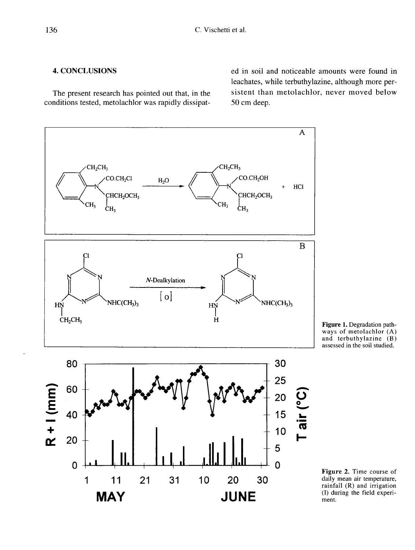# 4. CONCLUSIONS

The present research has pointed out that, in the conditions tested, metolachlor was rapidly dissipated in soil and noticeable amounts were found in leachates, while terbuthylazine, although more persistent than metolachlor, never moved below 50 cm deep.





Figure 2. Time course of daily mean air temperature, rainfall (R) and irrigation (I) during the field experiment.